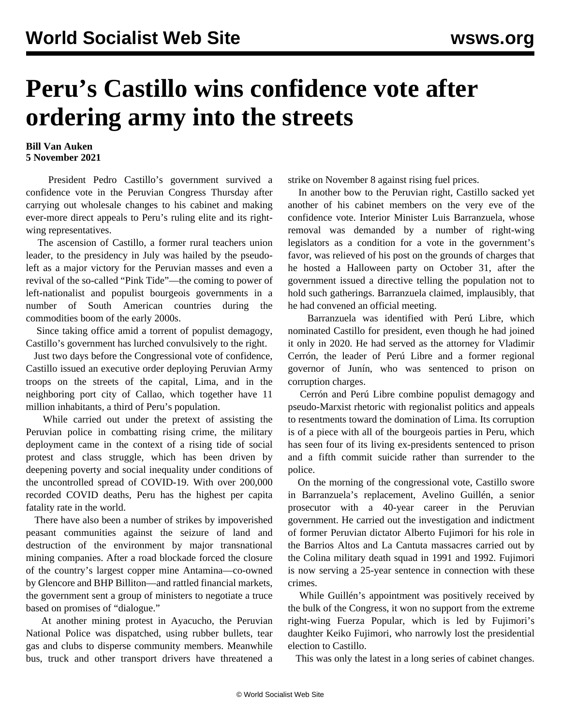## **Peru's Castillo wins confidence vote after ordering army into the streets**

## **Bill Van Auken 5 November 2021**

 President Pedro Castillo's government survived a confidence vote in the Peruvian Congress Thursday after carrying out wholesale changes to his cabinet and making ever-more direct appeals to Peru's ruling elite and its rightwing representatives.

 The ascension of Castillo, a former rural teachers union leader, to the presidency in July was hailed by the pseudoleft as a major victory for the Peruvian masses and even a revival of the so-called "Pink Tide"—the coming to power of left-nationalist and populist bourgeois governments in a number of South American countries during the commodities boom of the early 2000s.

 Since taking office amid a torrent of populist demagogy, Castillo's government has lurched convulsively to the right.

 Just two days before the Congressional vote of confidence, Castillo issued an executive order deploying Peruvian Army troops on the streets of the capital, Lima, and in the neighboring port city of Callao, which together have 11 million inhabitants, a third of Peru's population.

 While carried out under the pretext of assisting the Peruvian police in combatting rising crime, the military deployment came in the context of a rising tide of social protest and class struggle, which has been driven by deepening poverty and social inequality under conditions of the uncontrolled spread of COVID-19. With over 200,000 recorded COVID deaths, Peru has the highest per capita fatality rate in the world.

 There have also been a number of strikes by impoverished peasant communities against the seizure of land and destruction of the environment by major transnational mining companies. After a road blockade forced the closure of the country's largest copper mine Antamina—co-owned by Glencore and BHP Billiton—and rattled financial markets, the government sent a group of ministers to negotiate a truce based on promises of "dialogue."

 At another mining protest in Ayacucho, the Peruvian National Police was dispatched, using rubber bullets, tear gas and clubs to disperse community members. Meanwhile bus, truck and other transport drivers have threatened a strike on November 8 against rising fuel prices.

 In another bow to the Peruvian right, Castillo sacked yet another of his cabinet members on the very eve of the confidence vote. Interior Minister Luis Barranzuela, whose removal was demanded by a number of right-wing legislators as a condition for a vote in the government's favor, was relieved of his post on the grounds of charges that he hosted a Halloween party on October 31, after the government issued a directive telling the population not to hold such gatherings. Barranzuela claimed, implausibly, that he had convened an official meeting.

 Barranzuela was identified with Perú Libre, which nominated Castillo for president, even though he had joined it only in 2020. He had served as the attorney for Vladimir Cerrón, the leader of Perú Libre and a former regional governor of Junín, who was sentenced to prison on corruption charges.

 Cerrón and Perú Libre combine populist demagogy and pseudo-Marxist rhetoric with regionalist politics and appeals to resentments toward the domination of Lima. Its corruption is of a piece with all of the bourgeois parties in Peru, which has seen four of its living ex-presidents sentenced to prison and a fifth commit suicide rather than surrender to the police.

 On the morning of the congressional vote, Castillo swore in Barranzuela's replacement, Avelino Guillén, a senior prosecutor with a 40-year career in the Peruvian government. He carried out the investigation and indictment of former Peruvian dictator Alberto Fujimori for his role in the Barrios Altos and La Cantuta massacres carried out by the Colina military death squad in 1991 and 1992. Fujimori is now serving a 25-year sentence in connection with these crimes.

 While Guillén's appointment was positively received by the bulk of the Congress, it won no support from the extreme right-wing Fuerza Popular, which is led by Fujimori's daughter Keiko Fujimori, who narrowly lost the presidential election to Castillo.

This was only the latest in a long series of cabinet changes.